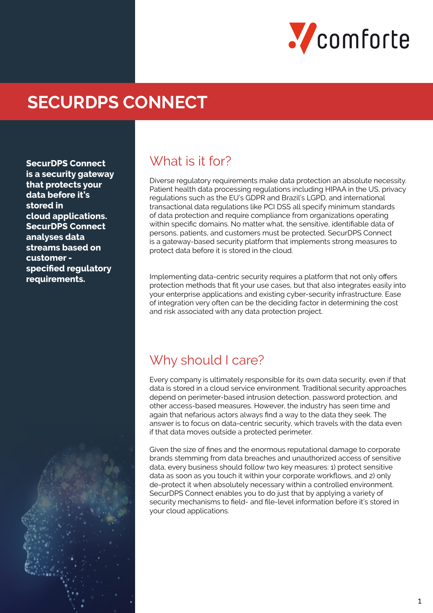

# **SECURDPS CONNECT**

**SecurDPS Connect is a security gateway that protects your data before it's stored in cloud applications. SecurDPS Connect analyses data streams based on customer specified regulatory requirements.**

#### What is it for?

Diverse regulatory requirements make data protection an absolute necessity. Patient health data processing regulations including HIPAA in the US, privacy regulations such as the EU's GDPR and Brazil's LGPD, and international transactional data regulations like PCI DSS all specify minimum standards of data protection and require compliance from organizations operating within specific domains. No matter what, the sensitive, identifiable data of persons, patients, and customers must be protected. SecurDPS Connect is a gateway-based security platform that implements strong measures to protect data before it is stored in the cloud.

Implementing data-centric security requires a platform that not only offers protection methods that fit your use cases, but that also integrates easily into your enterprise applications and existing cyber-security infrastructure. Ease of integration very often can be the deciding factor in determining the cost and risk associated with any data protection project.

#### Why should I care?

Every company is ultimately responsible for its own data security, even if that data is stored in a cloud service environment. Traditional security approaches depend on perimeter-based intrusion detection, password protection, and other access-based measures. However, the industry has seen time and again that nefarious actors always find a way to the data they seek. The answer is to focus on data-centric security, which travels with the data even if that data moves outside a protected perimeter.

Given the size of fines and the enormous reputational damage to corporate brands stemming from data breaches and unauthorized access of sensitive data, every business should follow two key measures: 1) protect sensitive data as soon as you touch it within your corporate workflows, and 2) only de-protect it when absolutely necessary within a controlled environment. SecurDPS Connect enables you to do just that by applying a variety of security mechanisms to field- and file-level information before it's stored in your cloud applications.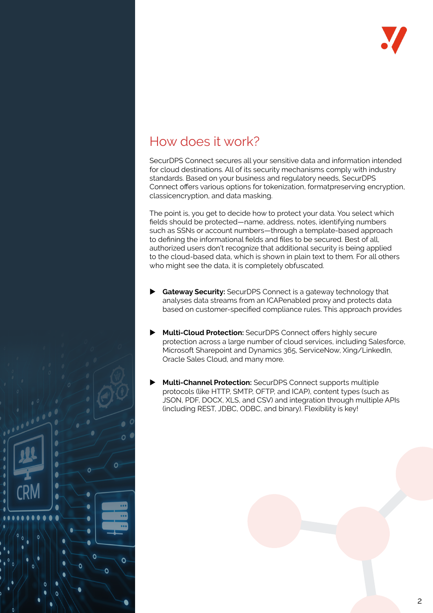

## How does it work?

Ċ Ċ

Ò

SecurDPS Connect secures all your sensitive data and information intended for cloud destinations. All of its security mechanisms comply with industry standards. Based on your business and regulatory needs, SecurDPS Connect offers various options for tokenization, formatpreserving encryption, classicencryption, and data masking.

The point is, you get to decide how to protect your data. You select which fields should be protected—name, address, notes, identifying numbers such as SSNs or account numbers—through a template-based approach to defining the informational fields and files to be secured. Best of all, authorized users don't recognize that additional security is being applied to the cloud-based data, which is shown in plain text to them. For all others who might see the data, it is completely obfuscated.

- **Gateway Security:** SecurDPS Connect is a gateway technology that analyses data streams from an ICAPenabled proxy and protects data based on customer-specified compliance rules. This approach provides
- **Multi-Cloud Protection:** SecurDPS Connect offers highly secure protection across a large number of cloud services, including Salesforce, Microsoft Sharepoint and Dynamics 365, ServiceNow, Xing/LinkedIn, Oracle Sales Cloud, and many more.
- **Multi-Channel Protection:** SecurDPS Connect supports multiple protocols (like HTTP, SMTP, OFTP, and ICAP), content types (such as JSON, PDF, DOCX, XLS, and CSV) and integration through multiple APIs (including REST, JDBC, ODBC, and binary). Flexibility is key!

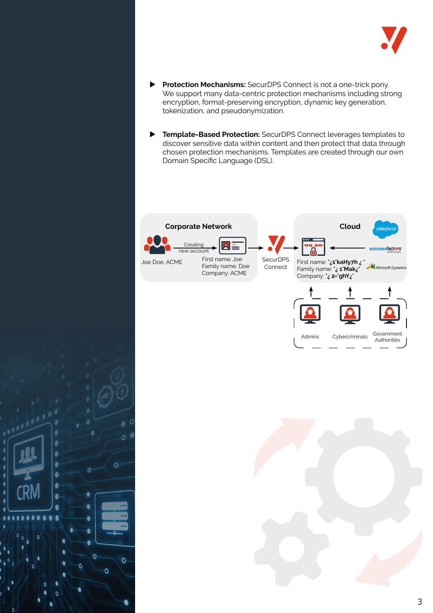

- **Protection Mechanisms:** SecurDPS Connect is not a one-trick pony. We support many data-centric protection mechanisms including strong encryption, format-preserving encryption, dynamic key generation, tokenization, and pseudonymization.
- **Template-Based Protection:** SecurDPS Connect leverages templates to discover sensitive data within content and then protect that data through chosen protection mechanisms. Templates are created through our own Domain Specific Language (DSL).



ì

ł

 $\overline{1}$ 

ł

C

ſ

 $\bullet$ 

 $\bullet$  $\bullet$  $\bullet$  Ō

 $\overline{O}$ 

Ô